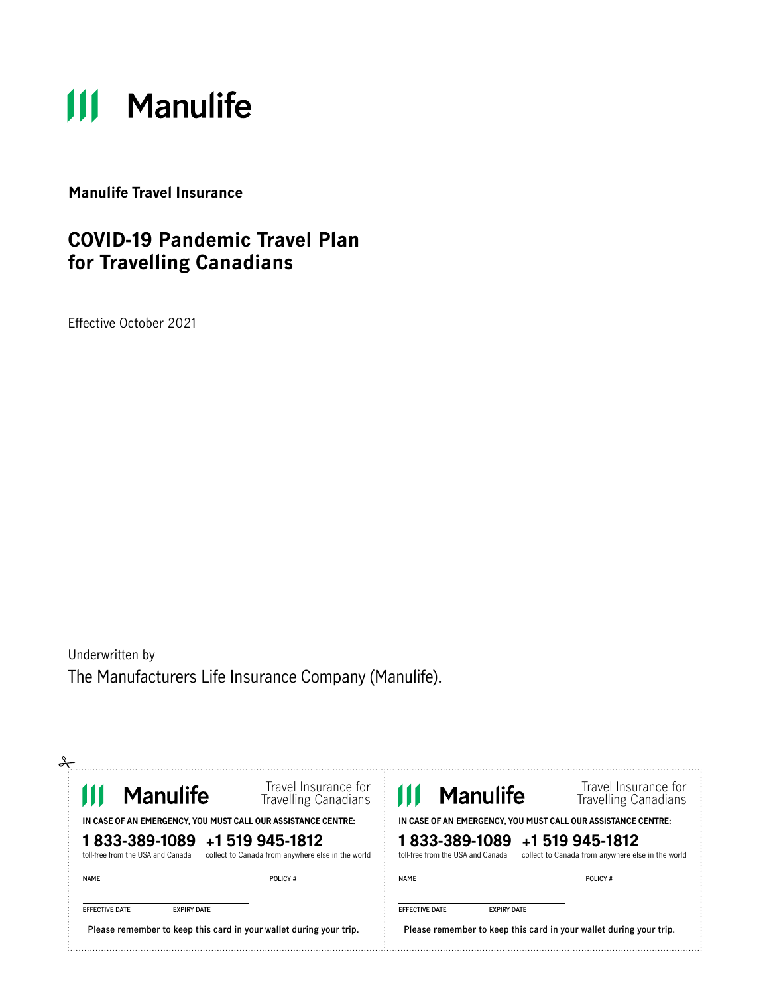# **111 Manulife**

**Manulife Travel Insurance**

### **COVID-19 Pandemic Travel Plan for Travelling Canadians**

Effective October 2021

Underwritten by The Manufacturers Life Insurance Company (Manulife).

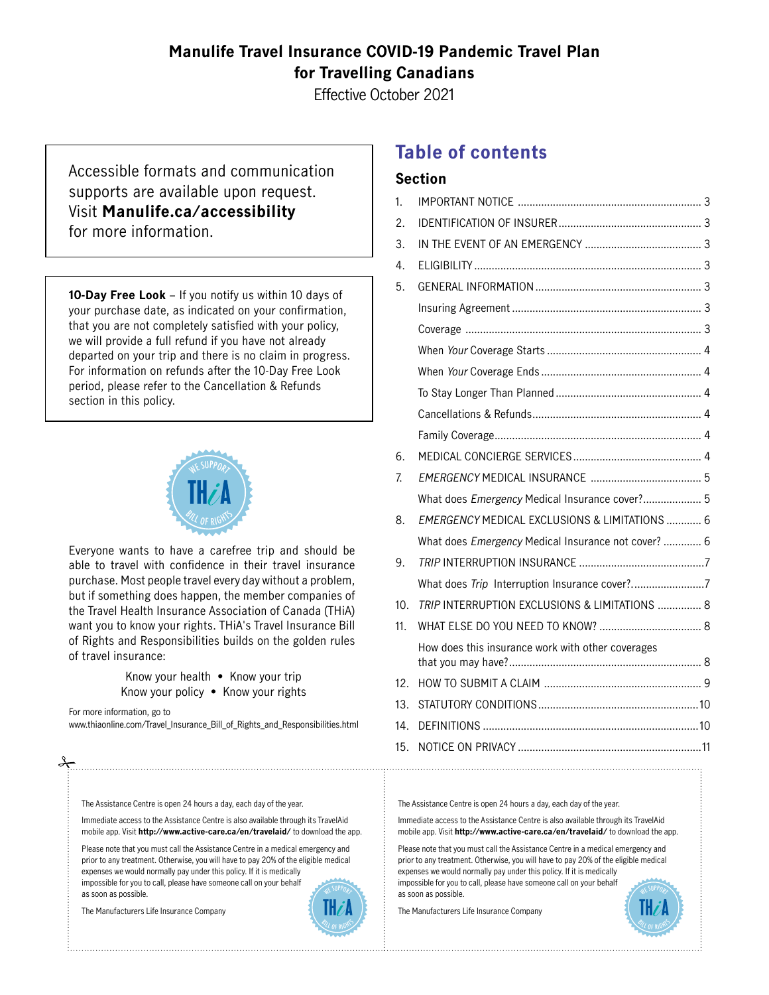### **Manulife Travel Insurance COVID-19 Pandemic Travel Plan for Travelling Canadians**

Effective October 2021

Accessible formats and communication supports are available upon request. Visit **[Manulife.ca/accessibility](http://Manulife.ca/accessibility)** for more information.

**10-Day Free Look** – If you notify us within 10 days of your purchase date, as indicated on your confirmation, that you are not completely satisfied with your policy, we will provide a full refund if you have not already departed on your trip and there is no claim in progress. For information on refunds after the 10-Day Free Look period, please refer to the Cancellation & Refunds section in this policy.



Everyone wants to have a carefree trip and should be able to travel with confidence in their travel insurance purchase. Most people travel every day without a problem, but if something does happen, the member companies of the Travel Health Insurance Association of Canada (THiA) want you to know your rights. THiA's Travel Insurance Bill of Rights and Responsibilities builds on the golden rules of travel insurance:

> Know your health • Know your trip Know your policy • Know your rights

For more information, go to [www.thiaonline.com/Travel\\_Insurance\\_Bill\\_of\\_Rights\\_and\\_Responsibilities.html](http://www.thiaonline.com/Travel_Insurance_Bill_of_Rights_and_Responsibilities.html)

The Assistance Centre is open 24 hours a day, each day of the year.

Immediate access to the Assistance Centre is also available through its TravelAid mobile app. Visit **<http://www.active-care.ca/en/travelaid/>**to download the app.

Please note that you must call the Assistance Centre in a medical emergency and prior to any treatment. Otherwise, you will have to pay 20% of the eligible medical expenses we would normally pay under this policy. If it is medically impossible for you to call, please have someone call on your behalf as soon as possible.

The Manufacturers Life Insurance Company



### **Table of contents**

#### **Section**

| 1.              |                                                     |  |
|-----------------|-----------------------------------------------------|--|
| 2.              |                                                     |  |
| 3.              |                                                     |  |
| 4.              |                                                     |  |
| 5.              |                                                     |  |
|                 |                                                     |  |
|                 |                                                     |  |
|                 |                                                     |  |
|                 |                                                     |  |
|                 |                                                     |  |
|                 |                                                     |  |
|                 |                                                     |  |
| 6.              |                                                     |  |
| 7.              |                                                     |  |
|                 | What does Emergency Medical Insurance cover? 5      |  |
| 8.              | EMERGENCY MEDICAL EXCLUSIONS & LIMITATIONS  6       |  |
|                 | What does Emergency Medical Insurance not cover?  6 |  |
| 9.              |                                                     |  |
|                 |                                                     |  |
| 10.             | TRIP INTERRUPTION EXCLUSIONS & LIMITATIONS  8       |  |
| 11 <sub>1</sub> |                                                     |  |
|                 | How does this insurance work with other coverages   |  |
| 12.             |                                                     |  |
| 13.             |                                                     |  |
| 14.             |                                                     |  |
| 15.             |                                                     |  |
|                 |                                                     |  |

The Assistance Centre is open 24 hours a day, each day of the year.

Immediate access to the Assistance Centre is also available through its TravelAid mobile app. Visit **<http://www.active-care.ca/en/travelaid/>** to download the app.

Please note that you must call the Assistance Centre in a medical emergency and prior to any treatment. Otherwise, you will have to pay 20% of the eligible medical expenses we would normally pay under this policy. If it is medically impossible for you to call, please have someone call on your behalf as soon as possible.

The Manufacturers Life Insurance Company

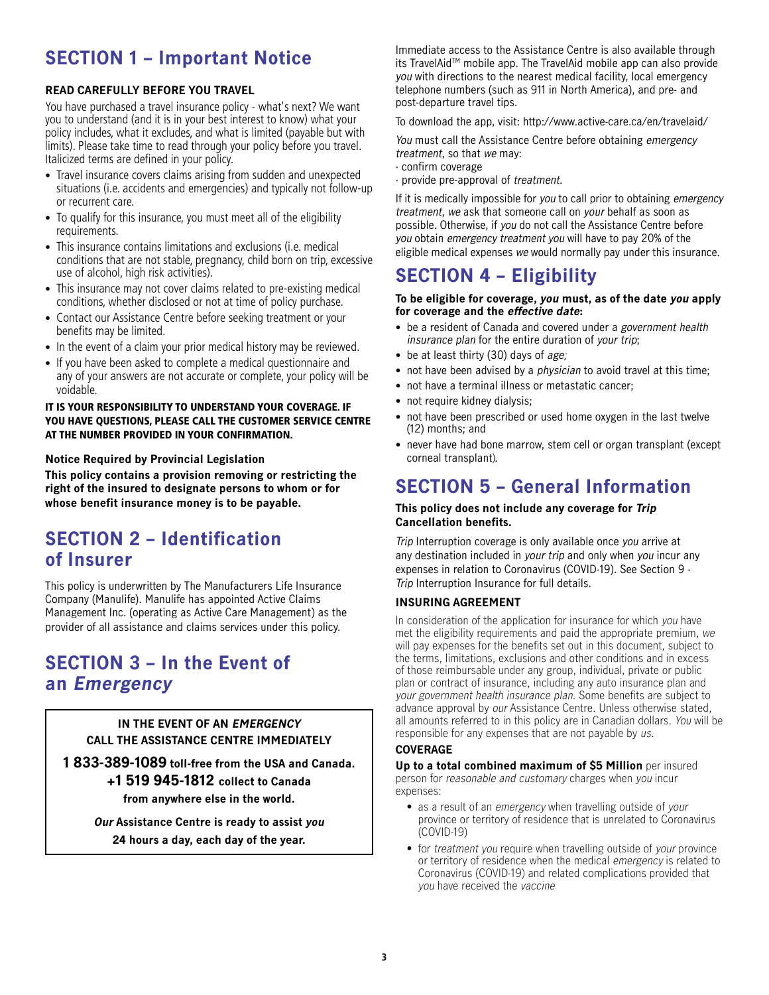### <span id="page-2-0"></span>**SECTION 1 – Important Notice**

#### **READ CAREFULLY BEFORE YOU TRAVEL**

You have purchased a travel insurance policy - what's next? We want you to understand (and it is in your best interest to know) what your policy includes, what it excludes, and what is limited (payable but with limits). Please take time to read through your policy before you travel. Italicized terms are defined in your policy.

- Travel insurance covers claims arising from sudden and unexpected situations (i.e. accidents and emergencies) and typically not follow-up or recurrent care.
- To qualify for this insurance, you must meet all of the eligibility requirements.
- This insurance contains limitations and exclusions (i.e. medical conditions that are not stable, pregnancy, child born on trip, excessive use of alcohol, high risk activities).
- This insurance may not cover claims related to pre-existing medical conditions, whether disclosed or not at time of policy purchase.
- Contact our Assistance Centre before seeking treatment or your benefits may be limited.
- In the event of a claim your prior medical history may be reviewed.
- If you have been asked to complete a medical questionnaire and any of your answers are not accurate or complete, your policy will be voidable.

#### IT IS YOUR RESPONSIBILITY TO UNDERSTAND YOUR COVERAGE. IF YOU HAVE QUESTIONS, PLEASE CALL THE CUSTOMER SERVICE CENTRE AT THE NUMBER PROVIDED IN YOUR CONFIRMATION.

#### **Notice Required by Provincial Legislation**

**This policy contains a provision removing or restricting the right of the insured to designate persons to whom or for whose benefit insurance money is to be payable.**

### **SECTION 2 – Identification of Insurer**

This policy is underwritten by The Manufacturers Life Insurance Company (Manulife). Manulife has appointed Active Claims Management Inc. (operating as Active Care Management) as the provider of all assistance and claims services under this policy.

### **SECTION 3 – In the Event of an Emergency**

#### **IN THE EVENT OF AN EMERGENCY CALL THE ASSISTANCE CENTRE IMMEDIATELY**

**1 833-389-1089 toll-free from the USA and Canada. +1 519 945-1812 collect to Canada from anywhere else in the world.**

> **Our Assistance Centre is ready to assist you 24 hours a day, each day of the year.**

Immediate access to the Assistance Centre is also available through its TravelAidTM mobile app. The TravelAid mobile app can also provide you with directions to the nearest medical facility, local emergency telephone numbers (such as 911 in North America), and pre- and post-departure travel tips.

To download the app, visit: <http://www.active-care.ca/en/travelaid/>

You must call the Assistance Centre before obtaining emergency treatment, so that we may:

- · confirm coverage
- · provide pre-approval of treatment.

If it is medically impossible for you to call prior to obtaining emergency treatment, we ask that someone call on your behalf as soon as possible. Otherwise, if you do not call the Assistance Centre before you obtain emergency treatment you will have to pay 20% of the eligible medical expenses we would normally pay under this insurance.

### **SECTION 4 – Eligibility**

#### **To be eligible for coverage, you must, as of the date you apply for coverage and the effective date:**

- be a resident of Canada and covered under a government health insurance plan for the entire duration of your trip;
- be at least thirty (30) days of age:
- not have been advised by a *physician* to avoid travel at this time;
- not have a terminal illness or metastatic cancer;
- not require kidney dialysis;
- not have been prescribed or used home oxygen in the last twelve (12) months; and
- never have had bone marrow, stem cell or organ transplant (except corneal transplant).

### **SECTION 5 – General Information**

#### **This policy does not include any coverage for Trip Cancellation benefits.**

Trip Interruption coverage is only available once you arrive at any destination included in your trip and only when you incur any expenses in relation to Coronavirus (COVID-19). See Section 9 - Trip Interruption Insurance for full details.

#### **INSURING AGREEMENT**

In consideration of the application for insurance for which you have met the eligibility requirements and paid the appropriate premium, we will pay expenses for the benefits set out in this document, subject to the terms, limitations, exclusions and other conditions and in excess of those reimbursable under any group, individual, private or public plan or contract of insurance, including any auto insurance plan and your government health insurance plan. Some benefits are subject to advance approval by our Assistance Centre. Unless otherwise stated, all amounts referred to in this policy are in Canadian dollars. You will be responsible for any expenses that are not payable by us.

#### **COVERAGE**

**Up to a total combined maximum of \$5 Million** per insured person for reasonable and customary charges when you incur expenses:

- as a result of an emergency when travelling outside of your province or territory of residence that is unrelated to Coronavirus (COVID-19)
- for treatment you require when travelling outside of your province or territory of residence when the medical emergency is related to Coronavirus (COVID-19) and related complications provided that you have received the vaccine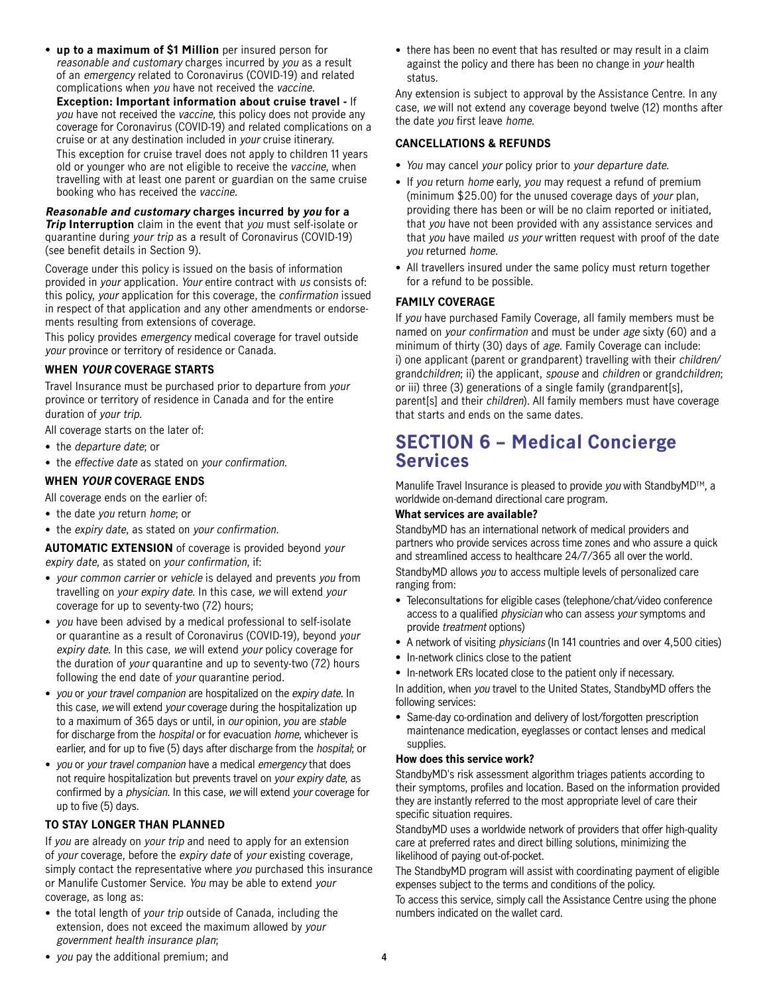<span id="page-3-0"></span>• **up to a maximum of \$1 Million** per insured person for reasonable and customary charges incurred by you as a result of an emergency related to Coronavirus (COVID-19) and related complications when you have not received the vaccine.

**Exception: Important information about cruise travel -** If you have not received the vaccine, this policy does not provide any coverage for Coronavirus (COVID-19) and related complications on a cruise or at any destination included in your cruise itinerary. This exception for cruise travel does not apply to children 11 years old or younger who are not eligible to receive the vaccine, when travelling with at least one parent or guardian on the same cruise booking who has received the vaccine.

#### **Reasonable and customary charges incurred by you for a**

**Trip Interruption** claim in the event that you must self-isolate or quarantine during your trip as a result of Coronavirus (COVID-19) (see benefit details in Section 9).

Coverage under this policy is issued on the basis of information provided in your application. Your entire contract with us consists of: this policy, your application for this coverage, the confirmation issued in respect of that application and any other amendments or endorsements resulting from extensions of coverage.

This policy provides emergency medical coverage for travel outside your province or territory of residence or Canada.

#### **WHEN YOUR COVERAGE STARTS**

Travel Insurance must be purchased prior to departure from your province or territory of residence in Canada and for the entire duration of your trip.

All coverage starts on the later of:

- the *departure date*; or
- the effective date as stated on your confirmation.

#### **WHEN YOUR COVERAGE ENDS**

All coverage ends on the earlier of:

• the date you return home; or

• the expiry date, as stated on your confirmation.

**AUTOMATIC EXTENSION** of coverage is provided beyond your expiry date, as stated on your confirmation, if:

- your common carrier or vehicle is delayed and prevents you from travelling on your expiry date. In this case, we will extend your coverage for up to seventy-two (72) hours;
- you have been advised by a medical professional to self-isolate or quarantine as a result of Coronavirus (COVID-19), beyond your expiry date. In this case, we will extend your policy coverage for the duration of your quarantine and up to seventy-two (72) hours following the end date of your quarantine period.
- vou or your travel companion are hospitalized on the expiry date. In this case, we will extend your coverage during the hospitalization up to a maximum of 365 days or until, in our opinion, you are stable for discharge from the *hospital* or for evacuation *home*, whichever is earlier, and for up to five (5) days after discharge from the hospital; or
- you or your travel companion have a medical emergency that does not require hospitalization but prevents travel on your expiry date, as confirmed by a physician. In this case, we will extend your coverage for up to five (5) days.

#### **TO STAY LONGER THAN PLANNED**

If you are already on your trip and need to apply for an extension of your coverage, before the expiry date of your existing coverage, simply contact the representative where you purchased this insurance or Manulife Customer Service. You may be able to extend your coverage, as long as:

• the total length of your trip outside of Canada, including the extension, does not exceed the maximum allowed by your government health insurance plan;

• there has been no event that has resulted or may result in a claim against the policy and there has been no change in your health status.

Any extension is subject to approval by the Assistance Centre. In any case, we will not extend any coverage beyond twelve (12) months after the date you first leave home.

#### **CANCELLATIONS & REFUNDS**

- You may cancel your policy prior to your departure date.
- If you return home early, you may request a refund of premium (minimum \$25.00) for the unused coverage days of your plan, providing there has been or will be no claim reported or initiated, that you have not been provided with any assistance services and that you have mailed us your written request with proof of the date you returned home.
- All travellers insured under the same policy must return together for a refund to be possible.

#### **FAMILY COVERAGE**

If you have purchased Family Coverage, all family members must be named on your confirmation and must be under age sixty (60) and a minimum of thirty (30) days of age. Family Coverage can include: i) one applicant (parent or grandparent) travelling with their children/ grandchildren; ii) the applicant, spouse and children or grandchildren; or iii) three (3) generations of a single family (grandparent[s], parent[s] and their children). All family members must have coverage that starts and ends on the same dates.

### **SECTION 6 – Medical Concierge Services**

Manulife Travel Insurance is pleased to provide you with Standby MD<sup>TM</sup>, a worldwide on-demand directional care program.

#### **What services are available?**

StandbyMD has an international network of medical providers and partners who provide services across time zones and who assure a quick and streamlined access to healthcare 24/7/365 all over the world. StandbyMD allows you to access multiple levels of personalized care ranging from:

- Teleconsultations for eligible cases (telephone/chat/video conference access to a qualified physician who can assess your symptoms and provide treatment options)
- A network of visiting physicians (In 141 countries and over 4,500 cities)
- In-network clinics close to the patient
- In-network ERs located close to the patient only if necessary.

In addition, when you travel to the United States, StandbyMD offers the following services:

• Same-day co-ordination and delivery of lost/forgotten prescription maintenance medication, eyeglasses or contact lenses and medical supplies.

#### **How does this service work?**

StandbyMD's risk assessment algorithm triages patients according to their symptoms, profiles and location. Based on the information provided they are instantly referred to the most appropriate level of care their specific situation requires.

StandbyMD uses a worldwide network of providers that offer high-quality care at preferred rates and direct billing solutions, minimizing the likelihood of paying out-of-pocket.

The StandbyMD program will assist with coordinating payment of eligible expenses subject to the terms and conditions of the policy.

To access this service, simply call the Assistance Centre using the phone numbers indicated on the wallet card.

• you pay the additional premium; and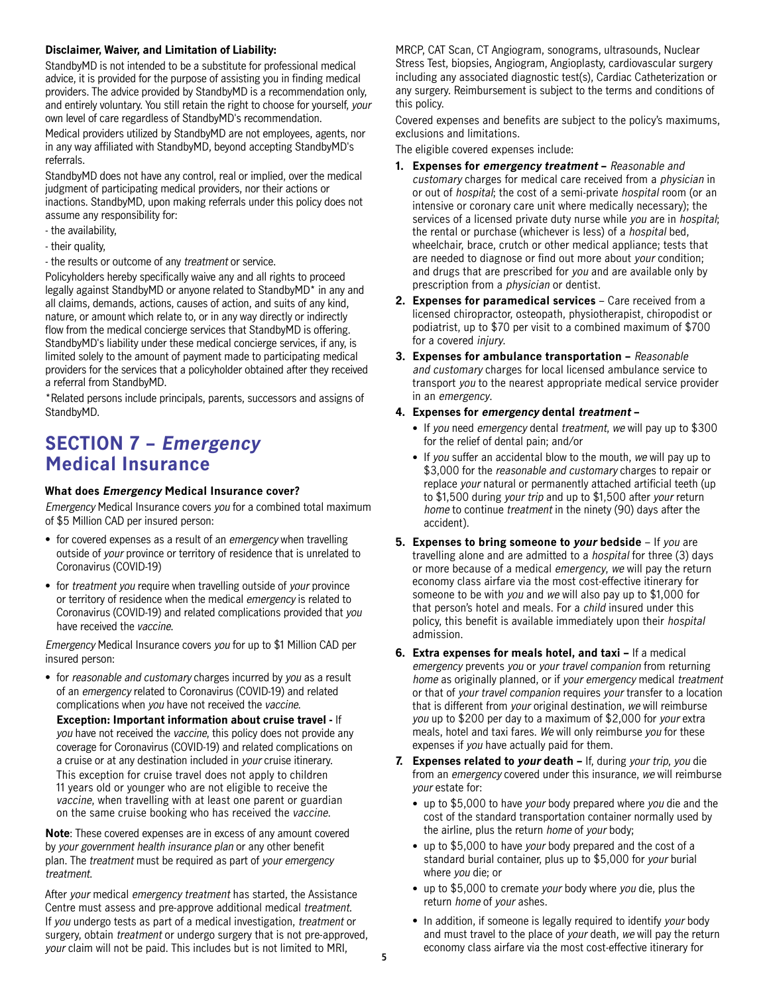#### <span id="page-4-0"></span>**Disclaimer, Waiver, and Limitation of Liability:**

StandbyMD is not intended to be a substitute for professional medical advice, it is provided for the purpose of assisting you in finding medical providers. The advice provided by StandbyMD is a recommendation only, and entirely voluntary. You still retain the right to choose for yourself, your own level of care regardless of StandbyMD's recommendation.

Medical providers utilized by StandbyMD are not employees, agents, nor in any way affiliated with StandbyMD, beyond accepting StandbyMD's referrals.

StandbyMD does not have any control, real or implied, over the medical judgment of participating medical providers, nor their actions or inactions. StandbyMD, upon making referrals under this policy does not assume any responsibility for:

- the availability,
- their quality,
- the results or outcome of any treatment or service.

Policyholders hereby specifically waive any and all rights to proceed legally against StandbyMD or anyone related to StandbyMD\* in any and all claims, demands, actions, causes of action, and suits of any kind, nature, or amount which relate to, or in any way directly or indirectly flow from the medical concierge services that StandbyMD is offering. StandbyMD's liability under these medical concierge services, if any, is limited solely to the amount of payment made to participating medical providers for the services that a policyholder obtained after they received a referral from StandbyMD.

\*Related persons include principals, parents, successors and assigns of StandbyMD.

### **SECTION 7 – Emergency Medical Insurance**

#### **What does Emergency Medical Insurance cover?**

Emergency Medical Insurance covers you for a combined total maximum of \$5 Million CAD per insured person:

- for covered expenses as a result of an emergency when travelling outside of your province or territory of residence that is unrelated to Coronavirus (COVID-19)
- for treatment you require when travelling outside of your province or territory of residence when the medical emergency is related to Coronavirus (COVID-19) and related complications provided that you have received the vaccine.

Emergency Medical Insurance covers you for up to \$1 Million CAD per insured person:

• for reasonable and customary charges incurred by you as a result of an emergency related to Coronavirus (COVID-19) and related complications when you have not received the vaccine.

**Exception: Important information about cruise travel -** If you have not received the vaccine, this policy does not provide any coverage for Coronavirus (COVID-19) and related complications on a cruise or at any destination included in your cruise itinerary. This exception for cruise travel does not apply to children 11 years old or younger who are not eligible to receive the vaccine, when travelling with at least one parent or guardian on the same cruise booking who has received the vaccine.

**Note**: These covered expenses are in excess of any amount covered by your government health insurance plan or any other benefit plan. The treatment must be required as part of your emergency treatment.

After your medical emergency treatment has started, the Assistance Centre must assess and pre-approve additional medical treatment. If you undergo tests as part of a medical investigation, treatment or surgery, obtain treatment or undergo surgery that is not pre-approved, your claim will not be paid. This includes but is not limited to MRI,

MRCP, CAT Scan, CT Angiogram, sonograms, ultrasounds, Nuclear Stress Test, biopsies, Angiogram, Angioplasty, cardiovascular surgery including any associated diagnostic test(s), Cardiac Catheterization or any surgery. Reimbursement is subject to the terms and conditions of this policy.

Covered expenses and benefits are subject to the policy's maximums, exclusions and limitations.

The eligible covered expenses include:

- **1. Expenses for emergency treatment** Reasonable and customary charges for medical care received from a physician in or out of hospital; the cost of a semi-private hospital room (or an intensive or coronary care unit where medically necessary); the services of a licensed private duty nurse while you are in hospital; the rental or purchase (whichever is less) of a hospital bed, wheelchair, brace, crutch or other medical appliance; tests that are needed to diagnose or find out more about your condition; and drugs that are prescribed for you and are available only by prescription from a physician or dentist.
- **2. Expenses for paramedical services** Care received from a licensed chiropractor, osteopath, physiotherapist, chiropodist or podiatrist, up to \$70 per visit to a combined maximum of \$700 for a covered injury.
- **3. Expenses for ambulance transportation** Reasonable and customary charges for local licensed ambulance service to transport you to the nearest appropriate medical service provider in an emergency.

#### **4. Expenses for emergency dental treatment –**

- If you need emergency dental treatment, we will pay up to \$300 for the relief of dental pain; and/or
- If you suffer an accidental blow to the mouth, we will pay up to \$3,000 for the reasonable and customary charges to repair or replace your natural or permanently attached artificial teeth (up to \$1,500 during your trip and up to \$1,500 after your return home to continue treatment in the ninety (90) days after the accident).
- **5. Expenses to bring someone to your bedside** If you are travelling alone and are admitted to a hospital for three (3) days or more because of a medical emergency, we will pay the return economy class airfare via the most cost-effective itinerary for someone to be with you and we will also pay up to \$1,000 for that person's hotel and meals. For a *child* insured under this policy, this benefit is available immediately upon their hospital admission.
- **6. Extra expenses for meals hotel, and taxi** If a medical emergency prevents you or your travel companion from returning home as originally planned, or if your emergency medical treatment or that of your travel companion requires your transfer to a location that is different from your original destination, we will reimburse you up to \$200 per day to a maximum of \$2,000 for your extra meals, hotel and taxi fares. We will only reimburse you for these expenses if you have actually paid for them.
- **7. Expenses related to your death** If, during your trip, you die from an emergency covered under this insurance, we will reimburse your estate for:
	- up to \$5,000 to have your body prepared where you die and the cost of the standard transportation container normally used by the airline, plus the return home of your body;
	- up to \$5,000 to have your body prepared and the cost of a standard burial container, plus up to \$5,000 for your burial where you die; or
	- up to \$5,000 to cremate your body where you die, plus the return home of your ashes.
	- In addition, if someone is legally required to identify your body and must travel to the place of your death, we will pay the return economy class airfare via the most cost-effective itinerary for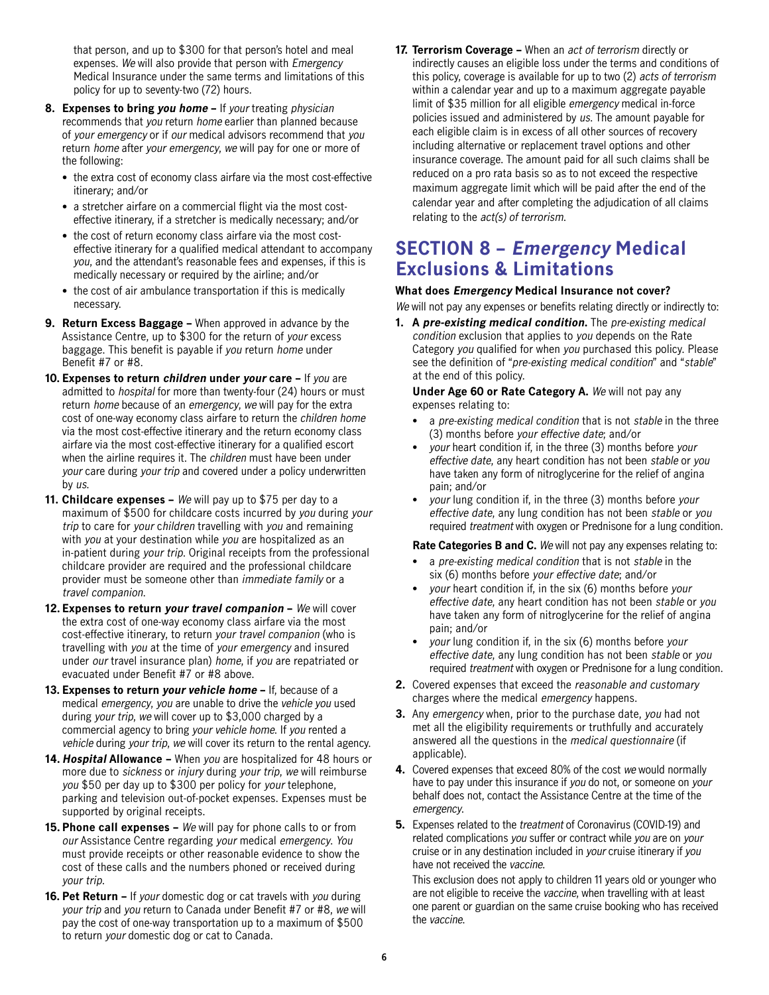<span id="page-5-0"></span>that person, and up to \$300 for that person's hotel and meal expenses. We will also provide that person with Emergency Medical Insurance under the same terms and limitations of this policy for up to seventy-two (72) hours.

- **8. Expenses to bring you home** If your treating physician recommends that you return home earlier than planned because of your emergency or if our medical advisors recommend that you return home after your emergency, we will pay for one or more of the following:
	- the extra cost of economy class airfare via the most cost-effective itinerary; and/or
	- a stretcher airfare on a commercial flight via the most costeffective itinerary, if a stretcher is medically necessary; and/or
	- the cost of return economy class airfare via the most costeffective itinerary for a qualified medical attendant to accompany you, and the attendant's reasonable fees and expenses, if this is medically necessary or required by the airline; and/or
	- the cost of air ambulance transportation if this is medically necessary.
- **9. Return Excess Baggage** When approved in advance by the Assistance Centre, up to \$300 for the return of your excess baggage. This benefit is payable if you return home under Benefit #7 or #8.
- **10. Expenses to return children under your care** If you are admitted to hospital for more than twenty-four (24) hours or must return home because of an emergency, we will pay for the extra cost of one-way economy class airfare to return the children home via the most cost-effective itinerary and the return economy class airfare via the most cost-effective itinerary for a qualified escort when the airline requires it. The children must have been under your care during your trip and covered under a policy underwritten by us.
- **11. Childcare expenses** We will pay up to \$75 per day to a maximum of \$500 for childcare costs incurred by you during your trip to care for your children travelling with you and remaining with you at your destination while you are hospitalized as an in-patient during your trip. Original receipts from the professional childcare provider are required and the professional childcare provider must be someone other than immediate family or a travel companion.
- **12. Expenses to return your travel companion** We will cover the extra cost of one-way economy class airfare via the most cost-effective itinerary, to return your travel companion (who is travelling with you at the time of your emergency and insured under our travel insurance plan) home, if you are repatriated or evacuated under Benefit #7 or #8 above.
- **13. Expenses to return your vehicle home** If, because of a medical emergency, you are unable to drive the vehicle you used during your trip, we will cover up to \$3,000 charged by a commercial agency to bring your vehicle home. If you rented a vehicle during your trip, we will cover its return to the rental agency.
- **14. Hospital Allowance** When you are hospitalized for 48 hours or more due to sickness or injury during your trip, we will reimburse you \$50 per day up to \$300 per policy for your telephone, parking and television out-of-pocket expenses. Expenses must be supported by original receipts.
- **15. Phone call expenses** We will pay for phone calls to or from our Assistance Centre regarding your medical emergency. You must provide receipts or other reasonable evidence to show the cost of these calls and the numbers phoned or received during your trip.
- **16. Pet Return** If your domestic dog or cat travels with you during your trip and you return to Canada under Benefit #7 or #8, we will pay the cost of one-way transportation up to a maximum of \$500 to return your domestic dog or cat to Canada.

**17. Terrorism Coverage –** When an act of terrorism directly or indirectly causes an eligible loss under the terms and conditions of this policy, coverage is available for up to two (2) acts of terrorism within a calendar year and up to a maximum aggregate payable limit of \$35 million for all eligible emergency medical in-force policies issued and administered by us. The amount payable for each eligible claim is in excess of all other sources of recovery including alternative or replacement travel options and other insurance coverage. The amount paid for all such claims shall be reduced on a pro rata basis so as to not exceed the respective maximum aggregate limit which will be paid after the end of the calendar year and after completing the adjudication of all claims relating to the *act(s)* of terrorism.

### **SECTION 8 – Emergency Medical Exclusions & Limitations**

#### **What does Emergency Medical Insurance not cover?**

We will not pay any expenses or benefits relating directly or indirectly to:

**1. A pre-existing medical condition.** The pre-existing medical condition exclusion that applies to you depends on the Rate Category you qualified for when you purchased this policy. Please see the definition of "pre-existing medical condition" and "stable" at the end of this policy.

 **Under Age 60 or Rate Category A.** We will not pay any expenses relating to:

- a pre-existing medical condition that is not stable in the three (3) months before your effective date; and/or
- your heart condition if, in the three (3) months before your effective date, any heart condition has not been stable or you have taken any form of nitroglycerine for the relief of angina pain; and/or
- your lung condition if, in the three (3) months before your effective date, any lung condition has not been stable or you required treatment with oxygen or Prednisone for a lung condition.

Rate Categories B and C. We will not pay any expenses relating to:

- a pre-existing medical condition that is not stable in the six (6) months before your effective date; and/or
- your heart condition if, in the six (6) months before your effective date, any heart condition has not been stable or you have taken any form of nitroglycerine for the relief of angina pain; and/or
- your lung condition if, in the six (6) months before your effective date, any lung condition has not been stable or you required treatment with oxygen or Prednisone for a lung condition.
- **2.** Covered expenses that exceed the reasonable and customary charges where the medical emergency happens.
- **3.** Any emergency when, prior to the purchase date, you had not met all the eligibility requirements or truthfully and accurately answered all the questions in the medical questionnaire (if applicable).
- **4.** Covered expenses that exceed 80% of the cost we would normally have to pay under this insurance if you do not, or someone on your behalf does not, contact the Assistance Centre at the time of the emergency.
- **5.** Expenses related to the *treatment* of Coronavirus (COVID-19) and related complications you suffer or contract while you are on your cruise or in any destination included in your cruise itinerary if you have not received the vaccine.

This exclusion does not apply to children 11 years old or younger who are not eligible to receive the vaccine, when travelling with at least one parent or guardian on the same cruise booking who has received the vaccine.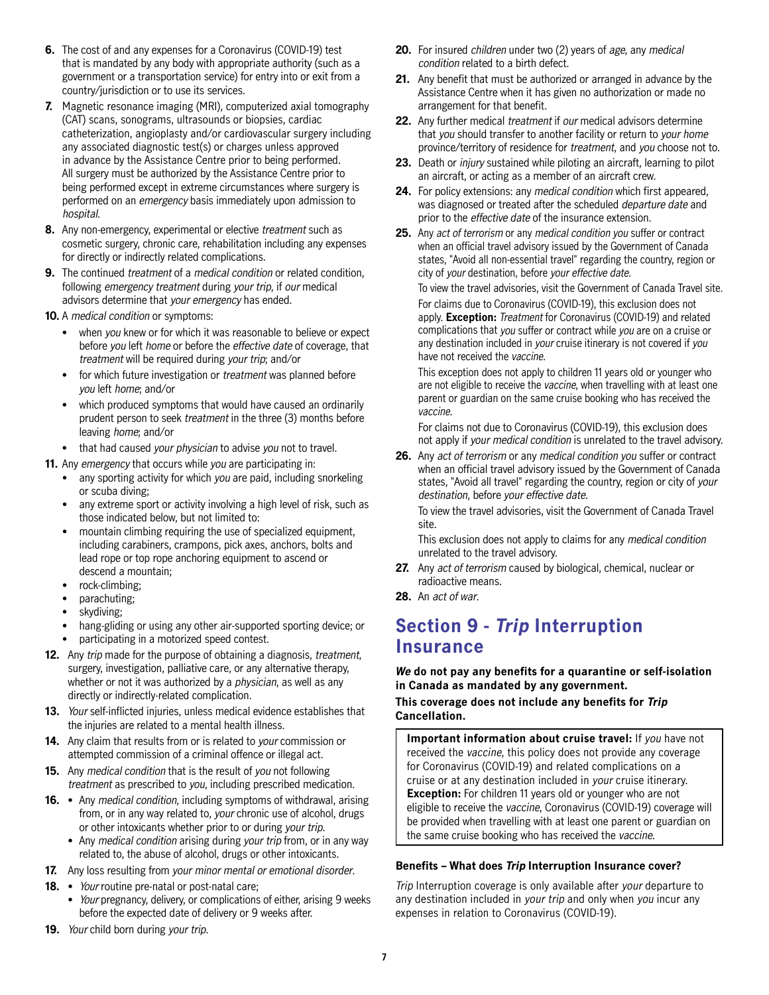- <span id="page-6-0"></span>**6.** The cost of and any expenses for a Coronavirus (COVID-19) test that is mandated by any body with appropriate authority (such as a government or a transportation service) for entry into or exit from a country/jurisdiction or to use its services.
- **7.** Magnetic resonance imaging (MRI), computerized axial tomography (CAT) scans, sonograms, ultrasounds or biopsies, cardiac catheterization, angioplasty and/or cardiovascular surgery including any associated diagnostic test(s) or charges unless approved in advance by the Assistance Centre prior to being performed. All surgery must be authorized by the Assistance Centre prior to being performed except in extreme circumstances where surgery is performed on an emergency basis immediately upon admission to hospital.
- **8.** Any non-emergency, experimental or elective *treatment* such as cosmetic surgery, chronic care, rehabilitation including any expenses for directly or indirectly related complications.
- **9.** The continued *treatment* of a *medical condition* or related condition, following emergency treatment during your trip, if our medical advisors determine that your emergency has ended.
- **10.** A medical condition or symptoms:
	- when you knew or for which it was reasonable to believe or expect before you left home or before the effective date of coverage, that treatment will be required during your trip; and/or
	- for which future investigation or *treatment* was planned before you left home; and/or
	- which produced symptoms that would have caused an ordinarily prudent person to seek treatment in the three (3) months before leaving home; and/or
	- that had caused your physician to advise you not to travel.

**11.** Any emergency that occurs while you are participating in:

- any sporting activity for which you are paid, including snorkeling or scuba diving;
- any extreme sport or activity involving a high level of risk, such as those indicated below, but not limited to:
- mountain climbing requiring the use of specialized equipment, including carabiners, crampons, pick axes, anchors, bolts and lead rope or top rope anchoring equipment to ascend or descend a mountain;
- rock-climbing;
- parachuting;
- skydiving;
- hang-gliding or using any other air-supported sporting device; or
- participating in a motorized speed contest.
- **12.** Any trip made for the purpose of obtaining a diagnosis, treatment, surgery, investigation, palliative care, or any alternative therapy, whether or not it was authorized by a physician, as well as any directly or indirectly-related complication.
- **13.** Your self-inflicted injuries, unless medical evidence establishes that the injuries are related to a mental health illness.
- **14.** Any claim that results from or is related to your commission or attempted commission of a criminal offence or illegal act.
- **15.** Any medical condition that is the result of you not following treatment as prescribed to you, including prescribed medication.
- 16. Any medical condition, including symptoms of withdrawal, arising from, or in any way related to, your chronic use of alcohol, drugs or other intoxicants whether prior to or during your trip.
	- Any medical condition arising during your trip from, or in any way related to, the abuse of alcohol, drugs or other intoxicants.
- **17.** Any loss resulting from your minor mental or emotional disorder.
- 18. *Your* routine pre-natal or post-natal care;
	- *Your* pregnancy, delivery, or complications of either, arising 9 weeks before the expected date of delivery or 9 weeks after.
- **19.** Your child born during your trip.
- **20.** For insured children under two (2) years of age, any medical condition related to a birth defect.
- **21.** Any benefit that must be authorized or arranged in advance by the Assistance Centre when it has given no authorization or made no arrangement for that benefit.
- **22.** Any further medical treatment if our medical advisors determine that you should transfer to another facility or return to your home province/territory of residence for treatment, and you choose not to.
- **23.** Death or injury sustained while piloting an aircraft, learning to pilot an aircraft, or acting as a member of an aircraft crew.
- **24.** For policy extensions: any medical condition which first appeared, was diagnosed or treated after the scheduled departure date and prior to the effective date of the insurance extension.
- **25.** Any act of terrorism or any medical condition you suffer or contract when an official travel advisory issued by the Government of Canada states, "Avoid all non-essential travel" regarding the country, region or city of your destination, before your effective date.

To view the travel advisories, visit the Government of Canada Travel site. For claims due to Coronavirus (COVID-19), this exclusion does not apply. **Exception:** Treatment for Coronavirus (COVID-19) and related complications that you suffer or contract while you are on a cruise or any destination included in your cruise itinerary is not covered if you have not received the vaccine.

This exception does not apply to children 11 years old or younger who are not eligible to receive the vaccine, when travelling with at least one parent or guardian on the same cruise booking who has received the vaccine.

For claims not due to Coronavirus (COVID-19), this exclusion does not apply if your medical condition is unrelated to the travel advisory.

**26.** Any act of terrorism or any medical condition you suffer or contract when an official travel advisory issued by the Government of Canada states, "Avoid all travel" regarding the country, region or city of your destination, before your effective date.

To view the travel advisories, visit the Government of Canada Travel site.

This exclusion does not apply to claims for any medical condition unrelated to the travel advisory.

- **27.** Any act of terrorism caused by biological, chemical, nuclear or radioactive means.
- **28.** An act of war.

### **Section 9 - Trip Interruption Insurance**

**We do not pay any benefits for a quarantine or self-isolation in Canada as mandated by any government. This coverage does not include any benefits for Trip Cancellation.**

**Important information about cruise travel:** If you have not received the vaccine, this policy does not provide any coverage for Coronavirus (COVID-19) and related complications on a cruise or at any destination included in your cruise itinerary. **Exception:** For children 11 years old or younger who are not eligible to receive the vaccine, Coronavirus (COVID-19) coverage will be provided when travelling with at least one parent or guardian on the same cruise booking who has received the vaccine.

#### **Benefits – What does Trip Interruption Insurance cover?**

Trip Interruption coverage is only available after your departure to any destination included in your trip and only when you incur any expenses in relation to Coronavirus (COVID-19).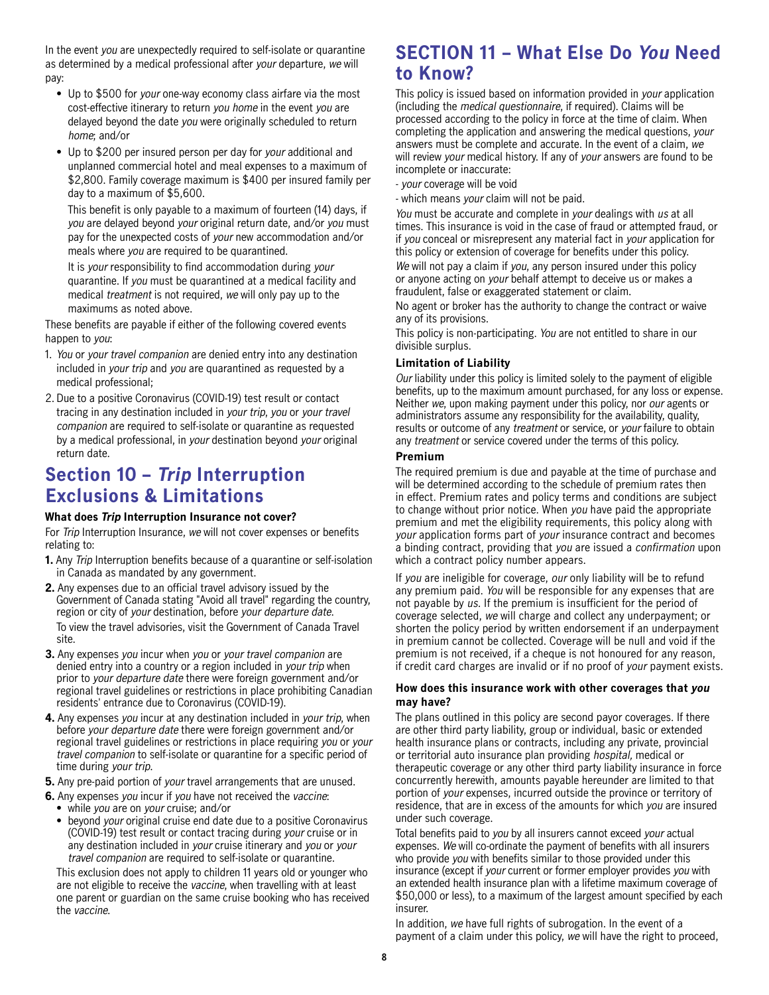<span id="page-7-0"></span>In the event you are unexpectedly required to self-isolate or quarantine as determined by a medical professional after your departure, we will pay:

- Up to \$500 for your one-way economy class airfare via the most cost-effective itinerary to return you home in the event you are delayed beyond the date you were originally scheduled to return home; and/or
- Up to \$200 per insured person per day for your additional and unplanned commercial hotel and meal expenses to a maximum of \$2,800. Family coverage maximum is \$400 per insured family per day to a maximum of \$5,600.

This benefit is only payable to a maximum of fourteen (14) days, if you are delayed beyond your original return date, and/or you must pay for the unexpected costs of your new accommodation and/or meals where you are required to be quarantined.

It is your responsibility to find accommodation during your quarantine. If you must be quarantined at a medical facility and medical treatment is not required, we will only pay up to the maximums as noted above.

These benefits are payable if either of the following covered events happen to you:

- 1. You or your travel companion are denied entry into any destination included in your trip and you are quarantined as requested by a medical professional;
- 2. Due to a positive Coronavirus (COVID-19) test result or contact tracing in any destination included in your trip, you or your travel companion are required to self-isolate or quarantine as requested by a medical professional, in your destination beyond your original return date.

### **Section 10 – Trip Interruption Exclusions & Limitations**

#### **What does Trip Interruption Insurance not cover?**

For Trip Interruption Insurance, we will not cover expenses or benefits relating to:

- **1.** Any Trip Interruption benefits because of a quarantine or self-isolation in Canada as mandated by any government.
- **2.** Any expenses due to an official travel advisory issued by the Government of Canada stating "Avoid all travel" regarding the country, region or city of your destination, before your departure date. To view the travel advisories, visit the Government of Canada Travel site.
- **3.** Any expenses you incur when you or your travel companion are denied entry into a country or a region included in your trip when prior to your departure date there were foreign government and/or regional travel guidelines or restrictions in place prohibiting Canadian residents' entrance due to Coronavirus (COVID-19).
- **4.** Any expenses you incur at any destination included in your trip, when before your departure date there were foreign government and/or regional travel guidelines or restrictions in place requiring you or your travel companion to self-isolate or quarantine for a specific period of time during your trip.
- **5.** Any pre-paid portion of your travel arrangements that are unused.
- **6.** Any expenses you incur if you have not received the vaccine:
	- while you are on your cruise; and/or
	- beyond your original cruise end date due to a positive Coronavirus (COVID-19) test result or contact tracing during your cruise or in any destination included in your cruise itinerary and you or your travel companion are required to self-isolate or quarantine.

This exclusion does not apply to children 11 years old or younger who are not eligible to receive the vaccine, when travelling with at least one parent or guardian on the same cruise booking who has received the vaccine.

### **SECTION 11 – What Else Do You Need to Know?**

This policy is issued based on information provided in your application (including the medical questionnaire, if required). Claims will be processed according to the policy in force at the time of claim. When completing the application and answering the medical questions, your answers must be complete and accurate. In the event of a claim, we will review your medical history. If any of your answers are found to be incomplete or inaccurate:

- your coverage will be void
- which means your claim will not be paid.

You must be accurate and complete in your dealings with us at all times. This insurance is void in the case of fraud or attempted fraud, or if you conceal or misrepresent any material fact in your application for this policy or extension of coverage for benefits under this policy. We will not pay a claim if you, any person insured under this policy or anyone acting on your behalf attempt to deceive us or makes a fraudulent, false or exaggerated statement or claim.

No agent or broker has the authority to change the contract or waive any of its provisions.

This policy is non-participating. You are not entitled to share in our divisible surplus.

#### **Limitation of Liability**

Our liability under this policy is limited solely to the payment of eligible benefits, up to the maximum amount purchased, for any loss or expense. Neither we, upon making payment under this policy, nor our agents or administrators assume any responsibility for the availability, quality, results or outcome of any treatment or service, or your failure to obtain any treatment or service covered under the terms of this policy.

#### **Premium**

The required premium is due and payable at the time of purchase and will be determined according to the schedule of premium rates then in effect. Premium rates and policy terms and conditions are subject to change without prior notice. When you have paid the appropriate premium and met the eligibility requirements, this policy along with your application forms part of your insurance contract and becomes a binding contract, providing that you are issued a confirmation upon which a contract policy number appears.

If you are ineligible for coverage, our only liability will be to refund any premium paid. You will be responsible for any expenses that are not payable by us. If the premium is insufficient for the period of coverage selected, we will charge and collect any underpayment; or shorten the policy period by written endorsement if an underpayment in premium cannot be collected. Coverage will be null and void if the premium is not received, if a cheque is not honoured for any reason, if credit card charges are invalid or if no proof of your payment exists.

#### **How does this insurance work with other coverages that you may have?**

The plans outlined in this policy are second payor coverages. If there are other third party liability, group or individual, basic or extended health insurance plans or contracts, including any private, provincial or territorial auto insurance plan providing hospital, medical or therapeutic coverage or any other third party liability insurance in force concurrently herewith, amounts payable hereunder are limited to that portion of your expenses, incurred outside the province or territory of residence, that are in excess of the amounts for which you are insured under such coverage.

Total benefits paid to you by all insurers cannot exceed your actual expenses. We will co-ordinate the payment of benefits with all insurers who provide you with benefits similar to those provided under this insurance (except if your current or former employer provides you with an extended health insurance plan with a lifetime maximum coverage of \$50,000 or less), to a maximum of the largest amount specified by each insurer.

In addition, we have full rights of subrogation. In the event of a payment of a claim under this policy, we will have the right to proceed,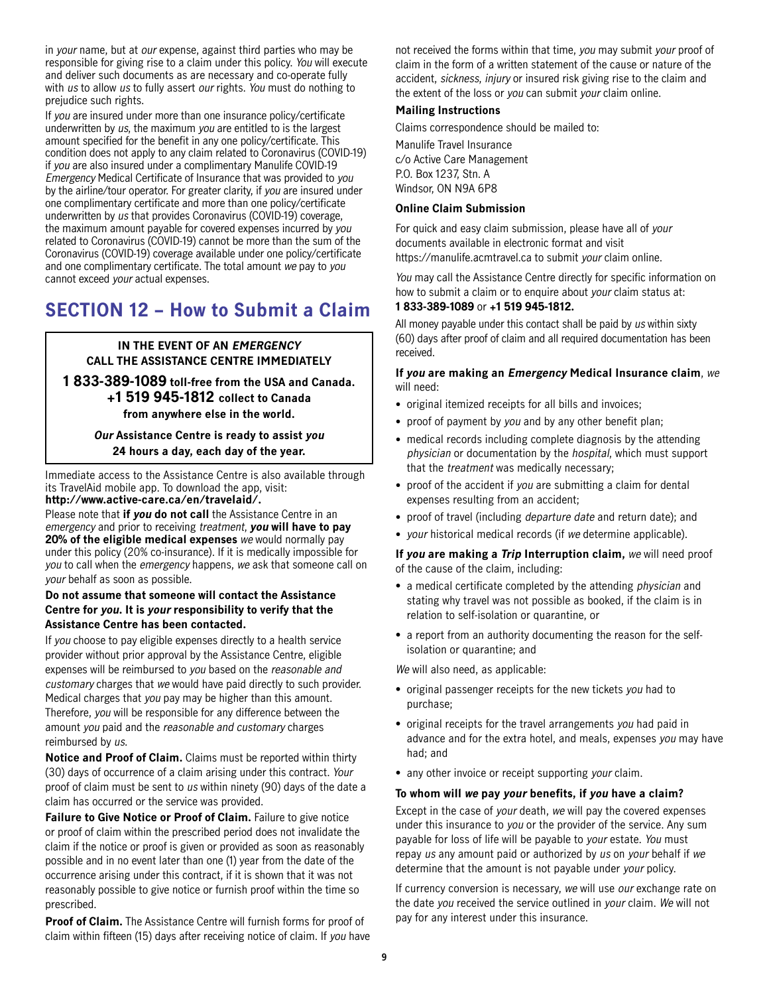<span id="page-8-0"></span>in your name, but at our expense, against third parties who may be responsible for giving rise to a claim under this policy. You will execute and deliver such documents as are necessary and co-operate fully with us to allow us to fully assert our rights. You must do nothing to prejudice such rights.

If you are insured under more than one insurance policy/certificate underwritten by us, the maximum you are entitled to is the largest amount specified for the benefit in any one policy/certificate. This condition does not apply to any claim related to Coronavirus (COVID-19) if you are also insured under a complimentary Manulife COVID-19 Emergency Medical Certificate of Insurance that was provided to you by the airline/tour operator. For greater clarity, if you are insured under one complimentary certificate and more than one policy/certificate underwritten by us that provides Coronavirus (COVID-19) coverage, the maximum amount payable for covered expenses incurred by you related to Coronavirus (COVID-19) cannot be more than the sum of the Coronavirus (COVID-19) coverage available under one policy/certificate and one complimentary certificate. The total amount we pay to you cannot exceed your actual expenses.

### **SECTION 12 – How to Submit a Claim**

#### **IN THE EVENT OF AN EMERGENCY CALL THE ASSISTANCE CENTRE IMMEDIATELY**

**1 833-389-1089 toll-free from the USA and Canada. +1 519 945-1812 collect to Canada from anywhere else in the world.**

> **Our Assistance Centre is ready to assist you 24 hours a day, each day of the year.**

Immediate access to the Assistance Centre is also available through its TravelAid mobile app. To download the app, visit: **[http://www.active-care.ca/en/travelaid/.](http://www.active-care.ca/en/travelaid/)**

Please note that **if you do not call** the Assistance Centre in an emergency and prior to receiving treatment, **you will have to pay 20% of the eligible medical expenses** we would normally pay under this policy (20% co-insurance). If it is medically impossible for you to call when the emergency happens, we ask that someone call on your behalf as soon as possible.

#### **Do not assume that someone will contact the Assistance Centre for you. It is your responsibility to verify that the Assistance Centre has been contacted.**

If you choose to pay eligible expenses directly to a health service provider without prior approval by the Assistance Centre, eligible expenses will be reimbursed to you based on the reasonable and customary charges that we would have paid directly to such provider. Medical charges that you pay may be higher than this amount. Therefore, you will be responsible for any difference between the amount you paid and the reasonable and customary charges reimbursed by us.

**Notice and Proof of Claim.** Claims must be reported within thirty (30) days of occurrence of a claim arising under this contract. Your proof of claim must be sent to us within ninety (90) days of the date a claim has occurred or the service was provided.

**Failure to Give Notice or Proof of Claim.** Failure to give notice or proof of claim within the prescribed period does not invalidate the claim if the notice or proof is given or provided as soon as reasonably possible and in no event later than one (1) year from the date of the occurrence arising under this contract, if it is shown that it was not reasonably possible to give notice or furnish proof within the time so prescribed.

**Proof of Claim.** The Assistance Centre will furnish forms for proof of claim within fifteen (15) days after receiving notice of claim. If you have not received the forms within that time, you may submit your proof of claim in the form of a written statement of the cause or nature of the accident, sickness, injury or insured risk giving rise to the claim and the extent of the loss or you can submit your claim online.

#### **Mailing Instructions**

Claims correspondence should be mailed to:

Manulife Travel Insurance c/o Active Care Management P.O. Box 1237, Stn. A Windsor, ON N9A 6P8

#### **Online Claim Submission**

For quick and easy claim submission, please have all of your documents available in electronic format and visit [https://manulife.acmtravel.ca t](https://manulife.acmtravel.ca)o submit your claim online.

You may call the Assistance Centre directly for specific information on how to submit a claim or to enquire about your claim status at: **1 833-389-1089** or **+1 519 945-1812.**

All money payable under this contact shall be paid by us within sixty (60) days after proof of claim and all required documentation has been received.

**If you are making an Emergency Medical Insurance claim**, we will need:

- original itemized receipts for all bills and invoices;
- proof of payment by you and by any other benefit plan;
- medical records including complete diagnosis by the attending physician or documentation by the hospital, which must support that the *treatment* was medically necessary;
- proof of the accident if you are submitting a claim for dental expenses resulting from an accident;
- proof of travel (including departure date and return date); and
- your historical medical records (if we determine applicable).

**If you are making a Trip Interruption claim,** we will need proof of the cause of the claim, including:

- a medical certificate completed by the attending physician and stating why travel was not possible as booked, if the claim is in relation to self-isolation or quarantine, or
- a report from an authority documenting the reason for the selfisolation or quarantine; and

We will also need, as applicable:

- original passenger receipts for the new tickets you had to purchase;
- original receipts for the travel arrangements you had paid in advance and for the extra hotel, and meals, expenses you may have had; and
- any other invoice or receipt supporting your claim.

#### **To whom will we pay your benefits, if you have a claim?**

Except in the case of your death, we will pay the covered expenses under this insurance to you or the provider of the service. Any sum payable for loss of life will be payable to your estate. You must repay us any amount paid or authorized by us on your behalf if we determine that the amount is not payable under your policy.

If currency conversion is necessary, we will use *our* exchange rate on the date you received the service outlined in your claim. We will not pay for any interest under this insurance.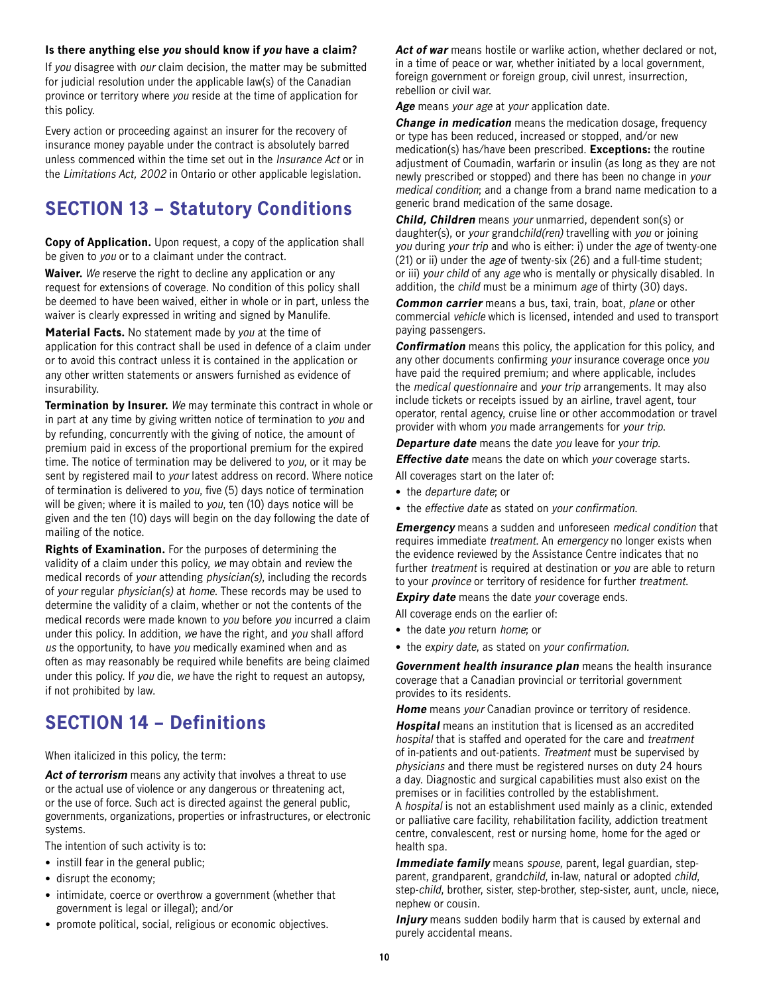#### <span id="page-9-0"></span>**Is there anything else you should know if you have a claim?**

If you disagree with our claim decision, the matter may be submitted for judicial resolution under the applicable law(s) of the Canadian province or territory where you reside at the time of application for this policy.

Every action or proceeding against an insurer for the recovery of insurance money payable under the contract is absolutely barred unless commenced within the time set out in the Insurance Act or in the Limitations Act, 2002 in Ontario or other applicable legislation.

### **SECTION 13 – Statutory Conditions**

**Copy of Application.** Upon request, a copy of the application shall be given to you or to a claimant under the contract.

**Waiver.** We reserve the right to decline any application or any request for extensions of coverage. No condition of this policy shall be deemed to have been waived, either in whole or in part, unless the waiver is clearly expressed in writing and signed by Manulife.

**Material Facts.** No statement made by you at the time of application for this contract shall be used in defence of a claim under or to avoid this contract unless it is contained in the application or any other written statements or answers furnished as evidence of insurability.

**Termination by Insurer.** We may terminate this contract in whole or in part at any time by giving written notice of termination to you and by refunding, concurrently with the giving of notice, the amount of premium paid in excess of the proportional premium for the expired time. The notice of termination may be delivered to you, or it may be sent by registered mail to your latest address on record. Where notice of termination is delivered to you, five (5) days notice of termination will be given; where it is mailed to you, ten (10) days notice will be given and the ten (10) days will begin on the day following the date of mailing of the notice.

**Rights of Examination.** For the purposes of determining the validity of a claim under this policy, we may obtain and review the medical records of your attending physician(s), including the records of your regular physician(s) at home. These records may be used to determine the validity of a claim, whether or not the contents of the medical records were made known to you before you incurred a claim under this policy. In addition, we have the right, and you shall afford us the opportunity, to have you medically examined when and as often as may reasonably be required while benefits are being claimed under this policy. If you die, we have the right to request an autopsy, if not prohibited by law.

### **SECTION 14 – Definitions**

When italicized in this policy, the term:

Act of terrorism means any activity that involves a threat to use or the actual use of violence or any dangerous or threatening act, or the use of force. Such act is directed against the general public, governments, organizations, properties or infrastructures, or electronic systems.

The intention of such activity is to:

- instill fear in the general public;
- disrupt the economy;
- intimidate, coerce or overthrow a government (whether that government is legal or illegal); and/or
- promote political, social, religious or economic objectives.

Act of war means hostile or warlike action, whether declared or not, in a time of peace or war, whether initiated by a local government, foreign government or foreign group, civil unrest, insurrection, rebellion or civil war.

**Age** means your age at your application date.

**Change in medication** means the medication dosage, frequency or type has been reduced, increased or stopped, and/or new medication(s) has/have been prescribed. **Exceptions:** the routine adjustment of Coumadin, warfarin or insulin (as long as they are not newly prescribed or stopped) and there has been no change in your medical condition; and a change from a brand name medication to a generic brand medication of the same dosage.

**Child, Children** means your unmarried, dependent son(s) or daughter(s), or your grandchild(ren) travelling with you or joining you during your trip and who is either: i) under the age of twenty-one (21) or ii) under the age of twenty-six (26) and a full-time student; or iii) your child of any age who is mentally or physically disabled. In addition, the *child* must be a minimum age of thirty (30) days.

**Common carrier** means a bus, taxi, train, boat, plane or other commercial vehicle which is licensed, intended and used to transport paying passengers.

**Confirmation** means this policy, the application for this policy, and any other documents confirming your insurance coverage once you have paid the required premium; and where applicable, includes the medical questionnaire and your trip arrangements. It may also include tickets or receipts issued by an airline, travel agent, tour operator, rental agency, cruise line or other accommodation or travel provider with whom you made arrangements for your trip.

**Departure date** means the date you leave for your trip.

**Effective date** means the date on which your coverage starts.

- All coverages start on the later of:
- the *departure date*; or
- the effective date as stated on your confirmation.

**Emergency** means a sudden and unforeseen medical condition that requires immediate *treatment*. An emergency no longer exists when the evidence reviewed by the Assistance Centre indicates that no further *treatment* is required at destination or you are able to return to your province or territory of residence for further treatment.

**Expiry date** means the date your coverage ends.

All coverage ends on the earlier of:

- the date you return home; or
- the expiry date, as stated on your confirmation.

**Government health insurance plan** means the health insurance coverage that a Canadian provincial or territorial government provides to its residents.

**Home** means your Canadian province or territory of residence.

**Hospital** means an institution that is licensed as an accredited hospital that is staffed and operated for the care and treatment of in-patients and out-patients. Treatment must be supervised by physicians and there must be registered nurses on duty 24 hours a day. Diagnostic and surgical capabilities must also exist on the premises or in facilities controlled by the establishment.

A hospital is not an establishment used mainly as a clinic, extended or palliative care facility, rehabilitation facility, addiction treatment centre, convalescent, rest or nursing home, home for the aged or health spa.

**Immediate family** means spouse, parent, legal guardian, stepparent, grandparent, grandchild, in-law, natural or adopted child, step-child, brother, sister, step-brother, step-sister, aunt, uncle, niece, nephew or cousin.

**Injury** means sudden bodily harm that is caused by external and purely accidental means.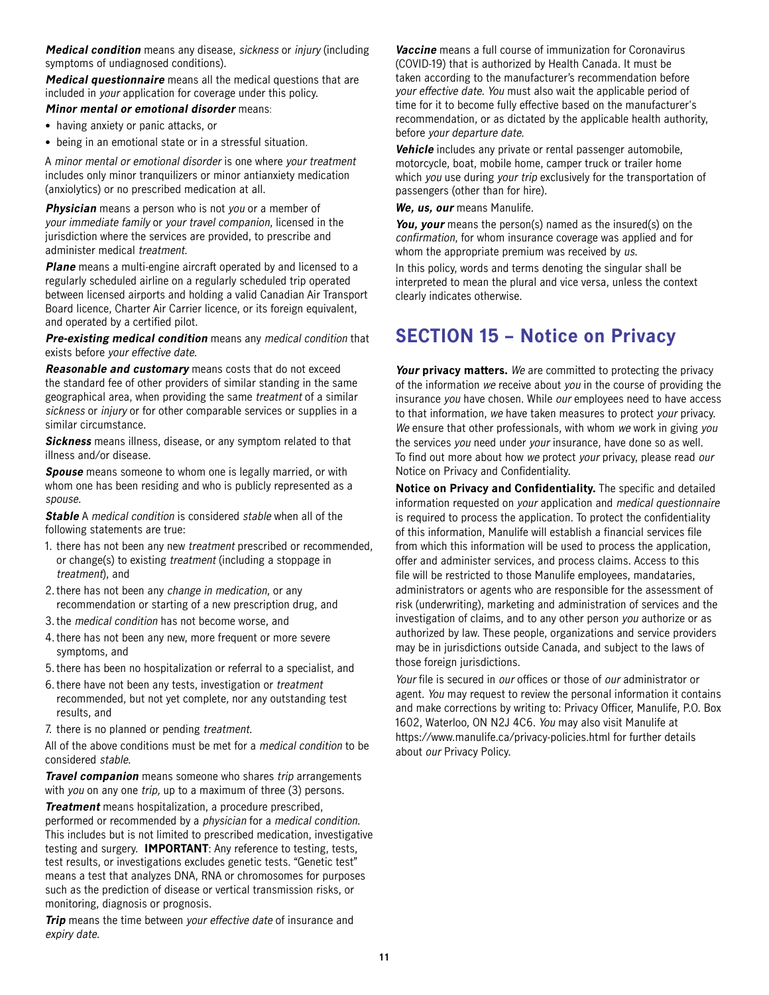<span id="page-10-0"></span>**Medical condition** means any disease, sickness or injury (including symptoms of undiagnosed conditions).

**Medical questionnaire** means all the medical questions that are included in your application for coverage under this policy.

#### **Minor mental or emotional disorder** means:

- having anxiety or panic attacks, or
- being in an emotional state or in a stressful situation.

A minor mental or emotional disorder is one where your treatment includes only minor tranquilizers or minor antianxiety medication (anxiolytics) or no prescribed medication at all.

**Physician** means a person who is not you or a member of your immediate family or your travel companion, licensed in the jurisdiction where the services are provided, to prescribe and administer medical treatment.

**Plane** means a multi-engine aircraft operated by and licensed to a regularly scheduled airline on a regularly scheduled trip operated between licensed airports and holding a valid Canadian Air Transport Board licence, Charter Air Carrier licence, or its foreign equivalent, and operated by a certified pilot.

**Pre-existing medical condition** means any medical condition that exists before your effective date.

**Reasonable and customary** means costs that do not exceed the standard fee of other providers of similar standing in the same geographical area, when providing the same treatment of a similar sickness or *injury* or for other comparable services or supplies in a similar circumstance.

**Sickness** means illness, disease, or any symptom related to that illness and/or disease.

**Spouse** means someone to whom one is legally married, or with whom one has been residing and who is publicly represented as a spouse.

**Stable** A medical condition is considered stable when all of the following statements are true:

- 1. there has not been any new treatment prescribed or recommended, or change(s) to existing treatment (including a stoppage in treatment), and
- 2. there has not been any change in medication, or any recommendation or starting of a new prescription drug, and
- 3. the medical condition has not become worse, and
- 4. there has not been any new, more frequent or more severe symptoms, and
- 5. there has been no hospitalization or referral to a specialist, and
- 6. there have not been any tests, investigation or treatment recommended, but not yet complete, nor any outstanding test results, and
- 7. there is no planned or pending treatment.

All of the above conditions must be met for a medical condition to be considered stable.

**Travel companion** means someone who shares trip arrangements with you on any one trip, up to a maximum of three (3) persons.

**Treatment** means hospitalization, a procedure prescribed, performed or recommended by a physician for a medical condition. This includes but is not limited to prescribed medication, investigative testing and surgery. **IMPORTANT**: Any reference to testing, tests, test results, or investigations excludes genetic tests. "Genetic test" means a test that analyzes DNA, RNA or chromosomes for purposes such as the prediction of disease or vertical transmission risks, or monitoring, diagnosis or prognosis.

**Trip** means the time between your effective date of insurance and expiry date.

**Vaccine** means a full course of immunization for Coronavirus (COVID-19) that is authorized by Health Canada. It must be taken according to the manufacturer's recommendation before your effective date. You must also wait the applicable period of time for it to become fully effective based on the manufacturer's recommendation, or as dictated by the applicable health authority, before your departure date.

**Vehicle** includes any private or rental passenger automobile, motorcycle, boat, mobile home, camper truck or trailer home which you use during your trip exclusively for the transportation of passengers (other than for hire).

**We, us, our** means Manulife.

**You, your** means the person(s) named as the insured(s) on the confirmation, for whom insurance coverage was applied and for whom the appropriate premium was received by us.

In this policy, words and terms denoting the singular shall be interpreted to mean the plural and vice versa, unless the context clearly indicates otherwise.

### **SECTION 15 – Notice on Privacy**

**Your privacy matters.** We are committed to protecting the privacy of the information we receive about you in the course of providing the insurance you have chosen. While our employees need to have access to that information, we have taken measures to protect your privacy. We ensure that other professionals, with whom we work in giving you the services you need under your insurance, have done so as well. To find out more about how we protect your privacy, please read our Notice on Privacy and Confidentiality.

**Notice on Privacy and Confidentiality.** The specific and detailed information requested on your application and medical questionnaire is required to process the application. To protect the confidentiality of this information, Manulife will establish a financial services file from which this information will be used to process the application, offer and administer services, and process claims. Access to this file will be restricted to those Manulife employees, mandataries, administrators or agents who are responsible for the assessment of risk (underwriting), marketing and administration of services and the investigation of claims, and to any other person you authorize or as authorized by law. These people, organizations and service providers may be in jurisdictions outside Canada, and subject to the laws of those foreign jurisdictions.

Your file is secured in our offices or those of our administrator or agent. You may request to review the personal information it contains and make corrections by writing to: Privacy Officer, Manulife, P.O. Box 1602, Waterloo, ON N2J 4C6. You may also visit Manulife at <https://www.manulife.ca/privacy-policies.html>for further details about our Privacy Policy.